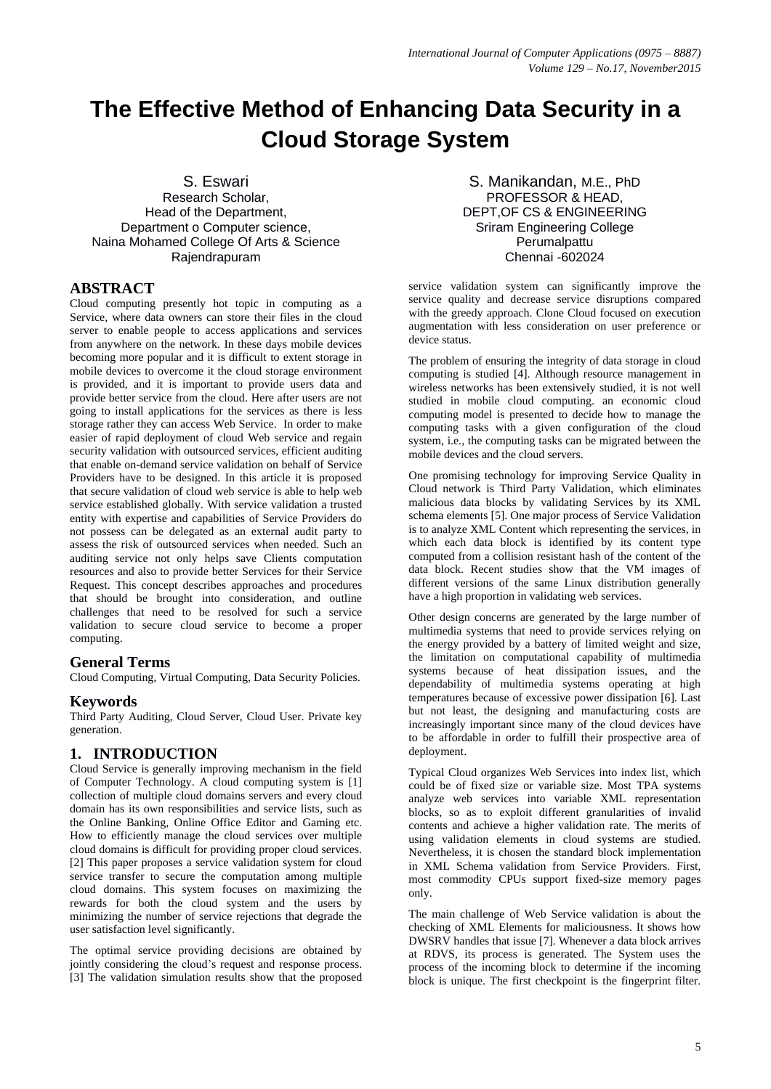# **The Effective Method of Enhancing Data Security in a Cloud Storage System**

S. Eswari

Research Scholar, Head of the Department, Department o Computer science, Naina Mohamed College Of Arts & Science Rajendrapuram

## **ABSTRACT**

Cloud computing presently hot topic in computing as a Service, where data owners can store their files in the cloud server to enable people to access applications and services from anywhere on the network. In these days mobile devices becoming more popular and it is difficult to extent storage in mobile devices to overcome it the cloud storage environment is provided, and it is important to provide users data and provide better service from the cloud. Here after users are not going to install applications for the services as there is less storage rather they can access Web Service. In order to make easier of rapid deployment of cloud Web service and regain security validation with outsourced services, efficient auditing that enable on-demand service validation on behalf of Service Providers have to be designed. In this article it is proposed that secure validation of cloud web service is able to help web service established globally. With service validation a trusted entity with expertise and capabilities of Service Providers do not possess can be delegated as an external audit party to assess the risk of outsourced services when needed. Such an auditing service not only helps save Clients computation resources and also to provide better Services for their Service Request. This concept describes approaches and procedures that should be brought into consideration, and outline challenges that need to be resolved for such a service validation to secure cloud service to become a proper computing.

### **General Terms**

Cloud Computing, Virtual Computing, Data Security Policies.

### **Keywords**

Third Party Auditing, Cloud Server, Cloud User. Private key generation.

### **1. INTRODUCTION**

Cloud Service is generally improving mechanism in the field of Computer Technology. A cloud computing system is [1] collection of multiple cloud domains servers and every cloud domain has its own responsibilities and service lists, such as the Online Banking, Online Office Editor and Gaming etc. How to efficiently manage the cloud services over multiple cloud domains is difficult for providing proper cloud services. [2] This paper proposes a service validation system for cloud service transfer to secure the computation among multiple cloud domains. This system focuses on maximizing the rewards for both the cloud system and the users by minimizing the number of service rejections that degrade the user satisfaction level significantly.

The optimal service providing decisions are obtained by jointly considering the cloud's request and response process. [3] The validation simulation results show that the proposed

S. Manikandan, M.E., PhD PROFESSOR & HEAD, DEPT,OF CS & ENGINEERING Sriram Engineering College Perumalpattu Chennai -602024

service validation system can significantly improve the service quality and decrease service disruptions compared with the greedy approach. Clone Cloud focused on execution augmentation with less consideration on user preference or device status.

The problem of ensuring the integrity of data storage in cloud computing is studied [4]. Although resource management in wireless networks has been extensively studied, it is not well studied in mobile cloud computing. an economic cloud computing model is presented to decide how to manage the computing tasks with a given configuration of the cloud system, i.e., the computing tasks can be migrated between the mobile devices and the cloud servers.

One promising technology for improving Service Quality in Cloud network is Third Party Validation, which eliminates malicious data blocks by validating Services by its XML schema elements [5]. One major process of Service Validation is to analyze XML Content which representing the services, in which each data block is identified by its content type computed from a collision resistant hash of the content of the data block. Recent studies show that the VM images of different versions of the same Linux distribution generally have a high proportion in validating web services.

Other design concerns are generated by the large number of multimedia systems that need to provide services relying on the energy provided by a battery of limited weight and size, the limitation on computational capability of multimedia systems because of heat dissipation issues, and the dependability of multimedia systems operating at high temperatures because of excessive power dissipation [6]. Last but not least, the designing and manufacturing costs are increasingly important since many of the cloud devices have to be affordable in order to fulfill their prospective area of deployment.

Typical Cloud organizes Web Services into index list, which could be of fixed size or variable size. Most TPA systems analyze web services into variable XML representation blocks, so as to exploit different granularities of invalid contents and achieve a higher validation rate. The merits of using validation elements in cloud systems are studied. Nevertheless, it is chosen the standard block implementation in XML Schema validation from Service Providers. First, most commodity CPUs support fixed-size memory pages only.

The main challenge of Web Service validation is about the checking of XML Elements for maliciousness. It shows how DWSRV handles that issue [7]. Whenever a data block arrives at RDVS, its process is generated. The System uses the process of the incoming block to determine if the incoming block is unique. The first checkpoint is the fingerprint filter.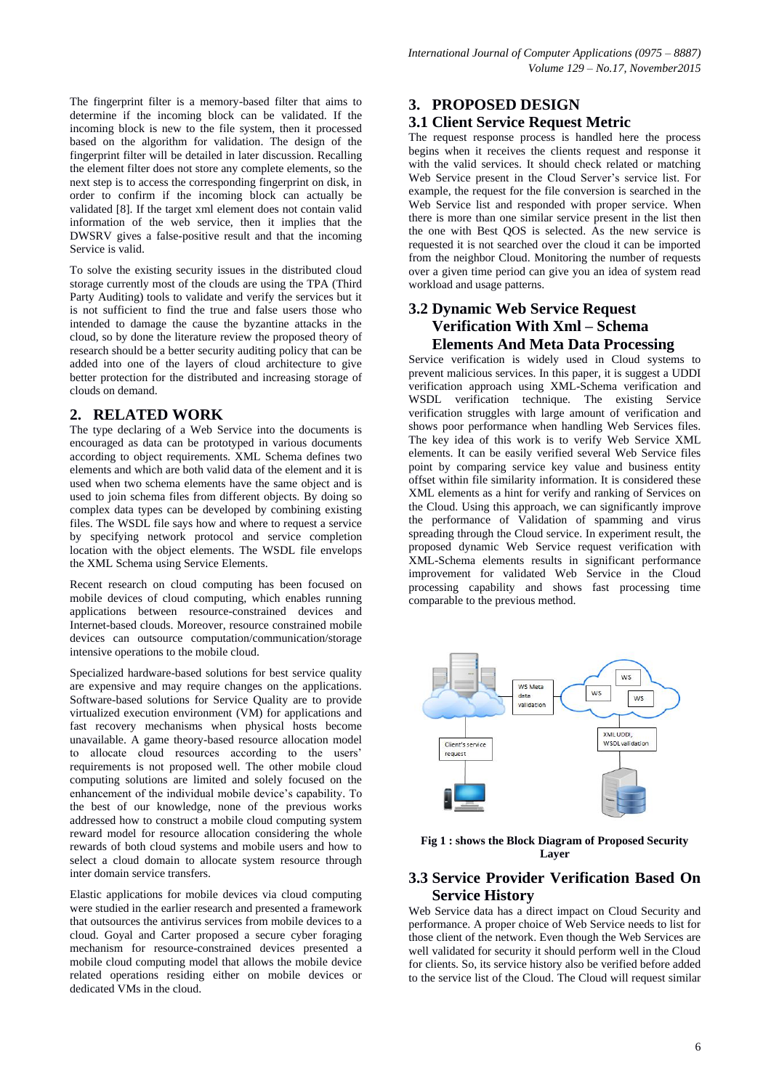The fingerprint filter is a memory-based filter that aims to determine if the incoming block can be validated. If the incoming block is new to the file system, then it processed based on the algorithm for validation. The design of the fingerprint filter will be detailed in later discussion. Recalling the element filter does not store any complete elements, so the next step is to access the corresponding fingerprint on disk, in order to confirm if the incoming block can actually be validated [8]. If the target xml element does not contain valid information of the web service, then it implies that the DWSRV gives a false-positive result and that the incoming Service is valid.

To solve the existing security issues in the distributed cloud storage currently most of the clouds are using the TPA (Third Party Auditing) tools to validate and verify the services but it is not sufficient to find the true and false users those who intended to damage the cause the byzantine attacks in the cloud, so by done the literature review the proposed theory of research should be a better security auditing policy that can be added into one of the layers of cloud architecture to give better protection for the distributed and increasing storage of clouds on demand.

### **2. RELATED WORK**

The type declaring of a Web Service into the documents is encouraged as data can be prototyped in various documents according to object requirements. XML Schema defines two elements and which are both valid data of the element and it is used when two schema elements have the same object and is used to join schema files from different objects. By doing so complex data types can be developed by combining existing files. The WSDL file says how and where to request a service by specifying network protocol and service completion location with the object elements. The WSDL file envelops the XML Schema using Service Elements.

Recent research on cloud computing has been focused on mobile devices of cloud computing, which enables running applications between resource-constrained devices and Internet-based clouds. Moreover, resource constrained mobile devices can outsource computation/communication/storage intensive operations to the mobile cloud.

Specialized hardware-based solutions for best service quality are expensive and may require changes on the applications. Software-based solutions for Service Quality are to provide virtualized execution environment (VM) for applications and fast recovery mechanisms when physical hosts become unavailable. A game theory-based resource allocation model to allocate cloud resources according to the users' requirements is not proposed well. The other mobile cloud computing solutions are limited and solely focused on the enhancement of the individual mobile device's capability. To the best of our knowledge, none of the previous works addressed how to construct a mobile cloud computing system reward model for resource allocation considering the whole rewards of both cloud systems and mobile users and how to select a cloud domain to allocate system resource through inter domain service transfers.

Elastic applications for mobile devices via cloud computing were studied in the earlier research and presented a framework that outsources the antivirus services from mobile devices to a cloud. Goyal and Carter proposed a secure cyber foraging mechanism for resource-constrained devices presented a mobile cloud computing model that allows the mobile device related operations residing either on mobile devices or dedicated VMs in the cloud.

### **3. PROPOSED DESIGN**

## **3.1 Client Service Request Metric**

The request response process is handled here the process begins when it receives the clients request and response it with the valid services. It should check related or matching Web Service present in the Cloud Server's service list. For example, the request for the file conversion is searched in the Web Service list and responded with proper service. When there is more than one similar service present in the list then the one with Best QOS is selected. As the new service is requested it is not searched over the cloud it can be imported from the neighbor Cloud. Monitoring the number of requests over a given time period can give you an idea of system read workload and usage patterns.

# **3.2 Dynamic Web Service Request Verification With Xml – Schema Elements And Meta Data Processing**

Service verification is widely used in Cloud systems to prevent malicious services. In this paper, it is suggest a UDDI verification approach using XML-Schema verification and WSDL verification technique. The existing Service verification struggles with large amount of verification and shows poor performance when handling Web Services files. The key idea of this work is to verify Web Service XML elements. It can be easily verified several Web Service files point by comparing service key value and business entity offset within file similarity information. It is considered these XML elements as a hint for verify and ranking of Services on the Cloud. Using this approach, we can significantly improve the performance of Validation of spamming and virus spreading through the Cloud service. In experiment result, the proposed dynamic Web Service request verification with XML-Schema elements results in significant performance improvement for validated Web Service in the Cloud processing capability and shows fast processing time comparable to the previous method.



**Fig 1 : shows the Block Diagram of Proposed Security Layer**

# **3.3 Service Provider Verification Based On Service History**

Web Service data has a direct impact on Cloud Security and performance. A proper choice of Web Service needs to list for those client of the network. Even though the Web Services are well validated for security it should perform well in the Cloud for clients. So, its service history also be verified before added to the service list of the Cloud. The Cloud will request similar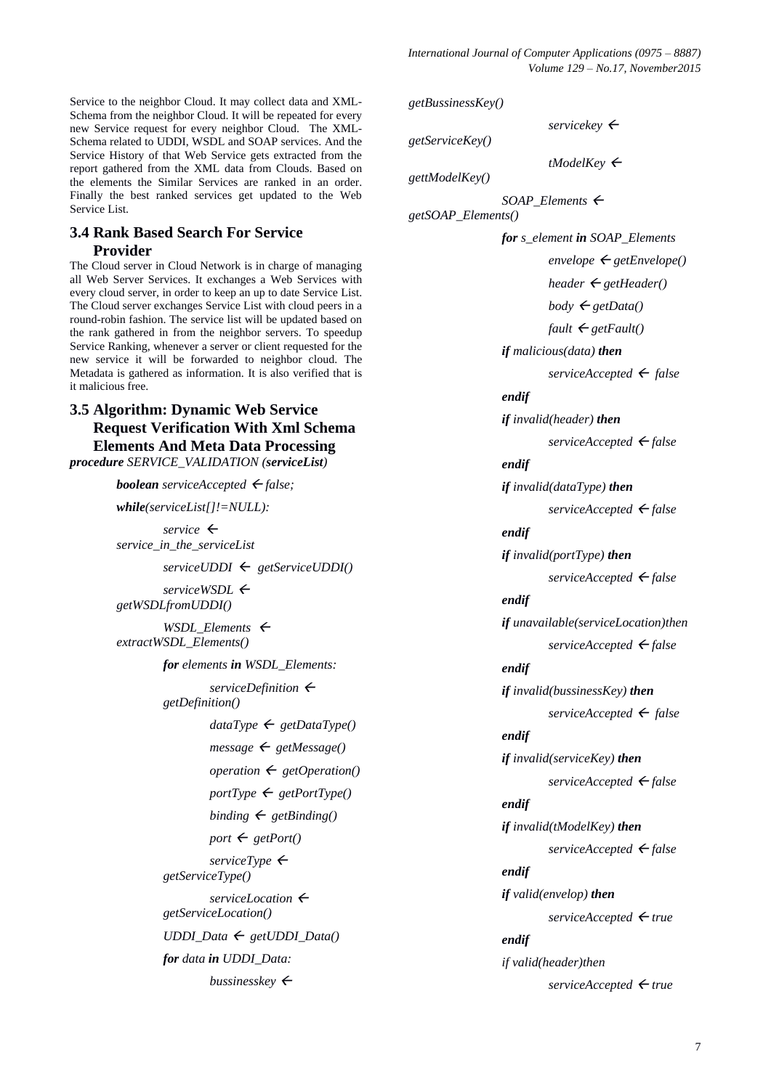Service to the neighbor Cloud. It may collect data and XML-Schema from the neighbor Cloud. It will be repeated for every new Service request for every neighbor Cloud. The XML-Schema related to UDDI, WSDL and SOAP services. And the Service History of that Web Service gets extracted from the report gathered from the XML data from Clouds. Based on the elements the Similar Services are ranked in an order. Finally the best ranked services get updated to the Web Service List.

# **3.4 Rank Based Search For Service Provider**

The Cloud server in Cloud Network is in charge of managing all Web Server Services. It exchanges a Web Services with every cloud server, in order to keep an up to date Service List. The Cloud server exchanges Service List with cloud peers in a round-robin fashion. The service list will be updated based on the rank gathered in from the neighbor servers. To speedup Service Ranking, whenever a server or client requested for the new service it will be forwarded to neighbor cloud. The Metadata is gathered as information. It is also verified that is it malicious free.

# **3.5 Algorithm: Dynamic Web Service Request Verification With Xml Schema Elements And Meta Data Processing**

*procedure SERVICE\_VALIDATION (serviceList)*

*boolean* serviceAccepted  $\leftarrow$  false;

*while(serviceList[]!=NULL):*  $s$ *ervice*  $\leftarrow$ *service\_in\_the\_serviceList serviceUDDI getServiceUDDI() serviceWSDL getWSDLfromUDDI() WSDL\_Elements*  $\leftarrow$ *extractWSDL\_Elements() for elements in WSDL\_Elements: serviceDefinition getDefinition()*  $dataType \leftarrow getDataType()$  $message \leftarrow getMessage()$  $oparation \leftarrow getOperation()$  $portType \leftarrow getPortType()$  $binding \leftarrow get Binding()$  $port \leftarrow getPort()$  $s$ *erviceType*  $\leftarrow$ *getServiceType() serviceLocation getServiceLocation()*  $UDDI\_Data \leftarrow getUDDI\_Data()$ *for data in UDDI\_Data: bussinesskey* 

*getBussinessKey()*  $s$ *ervicekey*  $\leftarrow$ *getServiceKey() tModelKey*  $\leftarrow$ *gettModelKey() SOAP\_Elements getSOAP\_Elements() for s\_element in SOAP\_Elements*  $envelope \leftarrow getEnvelope()$ *header*  $\leftarrow$  *getHeader*()  $body \leftarrow getData()$  $fault \leftarrow getFault()$ *if malicious(data) then serviceAccepted false endif if invalid(header) then serviceAccepted false endif if invalid(dataType) then serviceAccepted false endif if invalid(portType) then serviceAccepted false endif if unavailable(serviceLocation)then serviceAccepted false endif if invalid(bussinessKey) then*  $s$ *erviceAccepted*  $\leftarrow$  *false endif if invalid(serviceKey) then serviceAccepted false endif if invalid(tModelKey) then serviceAccepted false endif if valid(envelop) then serviceAccepted true endif if valid(header)then serviceAccepted true*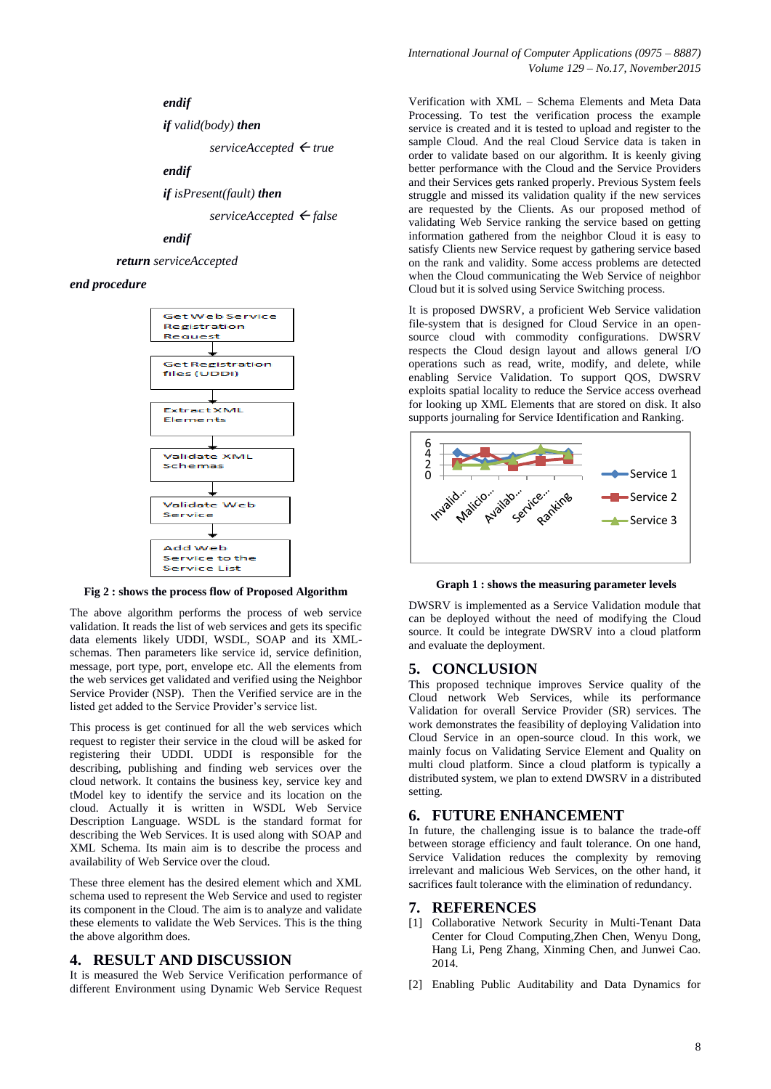### *endif*

*if valid(body) then*

*serviceAccepted true*

### *endif*

*if isPresent(fault) then*

*serviceAccepted false*

### *endif*

*return serviceAccepted*

#### *end procedure*



**Fig 2 : shows the process flow of Proposed Algorithm**

The above algorithm performs the process of web service validation. It reads the list of web services and gets its specific data elements likely UDDI, WSDL, SOAP and its XMLschemas. Then parameters like service id, service definition, message, port type, port, envelope etc. All the elements from the web services get validated and verified using the Neighbor Service Provider (NSP). Then the Verified service are in the listed get added to the Service Provider's service list.

This process is get continued for all the web services which request to register their service in the cloud will be asked for registering their UDDI. UDDI is responsible for the describing, publishing and finding web services over the cloud network. It contains the business key, service key and tModel key to identify the service and its location on the cloud. Actually it is written in WSDL Web Service Description Language. WSDL is the standard format for describing the Web Services. It is used along with SOAP and XML Schema. Its main aim is to describe the process and availability of Web Service over the cloud.

These three element has the desired element which and XML schema used to represent the Web Service and used to register its component in the Cloud. The aim is to analyze and validate these elements to validate the Web Services. This is the thing the above algorithm does.

### **4. RESULT AND DISCUSSION**

It is measured the Web Service Verification performance of different Environment using Dynamic Web Service Request *International Journal of Computer Applications (0975 – 8887) Volume 129 – No.17, November2015*

Verification with XML – Schema Elements and Meta Data Processing. To test the verification process the example service is created and it is tested to upload and register to the sample Cloud. And the real Cloud Service data is taken in order to validate based on our algorithm. It is keenly giving better performance with the Cloud and the Service Providers and their Services gets ranked properly. Previous System feels struggle and missed its validation quality if the new services are requested by the Clients. As our proposed method of validating Web Service ranking the service based on getting information gathered from the neighbor Cloud it is easy to satisfy Clients new Service request by gathering service based on the rank and validity. Some access problems are detected when the Cloud communicating the Web Service of neighbor Cloud but it is solved using Service Switching process.

It is proposed DWSRV, a proficient Web Service validation file-system that is designed for Cloud Service in an opensource cloud with commodity configurations. DWSRV respects the Cloud design layout and allows general I/O operations such as read, write, modify, and delete, while enabling Service Validation. To support QOS, DWSRV exploits spatial locality to reduce the Service access overhead for looking up XML Elements that are stored on disk. It also supports journaling for Service Identification and Ranking.



**Graph 1 : shows the measuring parameter levels**

DWSRV is implemented as a Service Validation module that can be deployed without the need of modifying the Cloud source. It could be integrate DWSRV into a cloud platform and evaluate the deployment.

### **5. CONCLUSION**

This proposed technique improves Service quality of the Cloud network Web Services, while its performance Validation for overall Service Provider (SR) services. The work demonstrates the feasibility of deploying Validation into Cloud Service in an open-source cloud. In this work, we mainly focus on Validating Service Element and Quality on multi cloud platform. Since a cloud platform is typically a distributed system, we plan to extend DWSRV in a distributed setting.

### **6. FUTURE ENHANCEMENT**

In future, the challenging issue is to balance the trade-off between storage efficiency and fault tolerance. On one hand, Service Validation reduces the complexity by removing irrelevant and malicious Web Services, on the other hand, it sacrifices fault tolerance with the elimination of redundancy.

#### **7. REFERENCES**

- [1] Collaborative Network Security in Multi-Tenant Data Center for Cloud Computing,Zhen Chen, Wenyu Dong, Hang Li, Peng Zhang, Xinming Chen, and Junwei Cao. 2014.
- [2] Enabling Public Auditability and Data Dynamics for